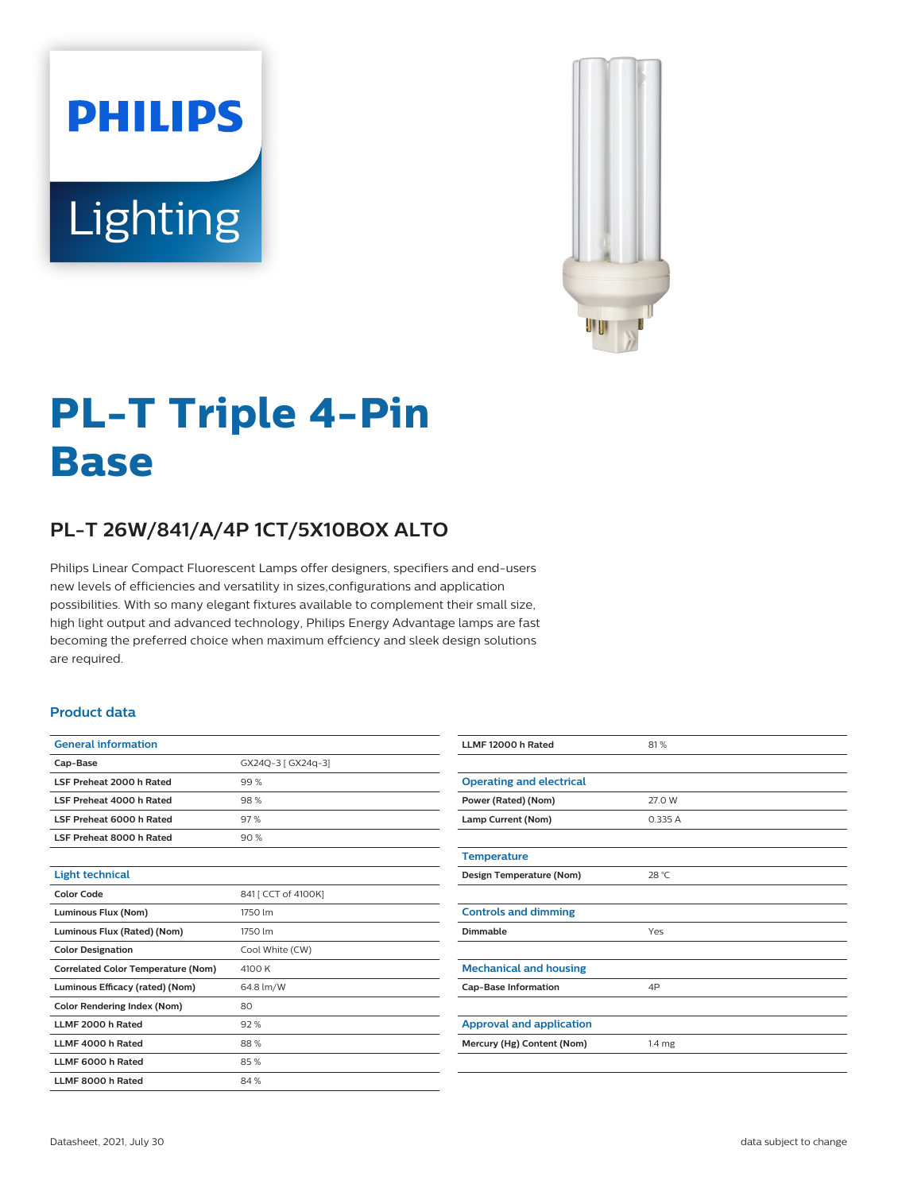



# **PL-T Triple 4-Pin Base**

## **PL-T 26W/841/A/4P 1CT/5X10BOX ALTO**

Philips Linear Compact Fluorescent Lamps offer designers, specifiers and end-users new levels of efficiencies and versatility in sizes,configurations and application possibilities. With so many elegant fixtures available to complement their small size, high light output and advanced technology, Philips Energy Advantage lamps are fast becoming the preferred choice when maximum effciency and sleek design solutions are required.

#### **Product data**

| <b>General information</b>                |                     |  |  |  |
|-------------------------------------------|---------------------|--|--|--|
| Cap-Base                                  | GX24Q-3 [ GX24q-3]  |  |  |  |
| LSF Preheat 2000 h Rated                  | 99%                 |  |  |  |
| LSF Preheat 4000 h Rated                  | 98%                 |  |  |  |
| LSF Preheat 6000 h Rated                  | 97%                 |  |  |  |
| LSF Preheat 8000 h Rated                  | 90%                 |  |  |  |
|                                           |                     |  |  |  |
| <b>Light technical</b>                    |                     |  |  |  |
| <b>Color Code</b>                         | 841 [ CCT of 4100K] |  |  |  |
| Luminous Flux (Nom)                       | 1750 lm             |  |  |  |
| Luminous Flux (Rated) (Nom)               | 1750 lm             |  |  |  |
| <b>Color Designation</b>                  | Cool White (CW)     |  |  |  |
| <b>Correlated Color Temperature (Nom)</b> | 4100 K              |  |  |  |
| Luminous Efficacy (rated) (Nom)           | 64.8 lm/W           |  |  |  |
| <b>Color Rendering Index (Nom)</b>        | 80                  |  |  |  |
| LLMF 2000 h Rated                         | 92%                 |  |  |  |
| LLMF 4000 h Rated                         | 88%                 |  |  |  |
| LLMF 6000 h Rated                         | 85%                 |  |  |  |
| LLMF 8000 h Rated                         | 84%                 |  |  |  |

| LLMF 12000 h Rated              | 81%               |
|---------------------------------|-------------------|
|                                 |                   |
| <b>Operating and electrical</b> |                   |
| Power (Rated) (Nom)             | 27.0 W            |
| Lamp Current (Nom)              | 0.335 A           |
|                                 |                   |
| <b>Temperature</b>              |                   |
| Design Temperature (Nom)        | 28 °C             |
|                                 |                   |
| <b>Controls and dimming</b>     |                   |
| Dimmable                        | Yes               |
|                                 |                   |
| <b>Mechanical and housing</b>   |                   |
| <b>Cap-Base Information</b>     | 4P                |
|                                 |                   |
| <b>Approval and application</b> |                   |
| Mercury (Hg) Content (Nom)      | 1.4 <sub>mg</sub> |
|                                 |                   |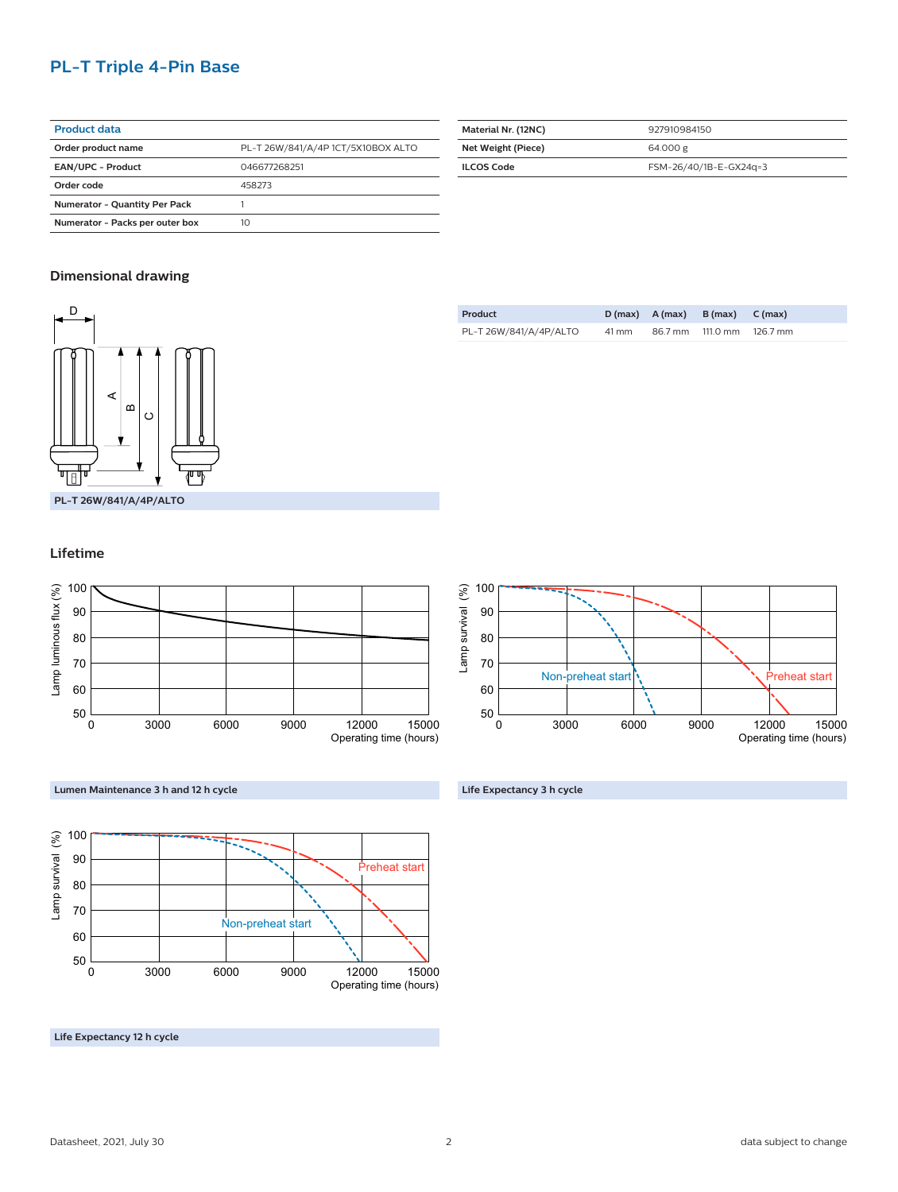## **PL-T Triple 4-Pin Base**

| <b>Product data</b>                  |                                    |
|--------------------------------------|------------------------------------|
| Order product name                   | PL-T 26W/841/A/4P 1CT/5X10BOX ALTO |
| <b>EAN/UPC - Product</b>             | 046677268251                       |
| Order code                           | 458273                             |
| <b>Numerator - Quantity Per Pack</b> |                                    |
| Numerator - Packs per outer box      | 10                                 |

| Material Nr. (12NC) | 927910984150           |
|---------------------|------------------------|
| Net Weight (Piece)  | 64.000 g               |
| <b>ILCOS Code</b>   | FSM-26/40/1B-E-GX24q=3 |

## **Dimensional drawing**



| Product                |       | $D(max)$ $A(max)$ $B(max)$ $C(max)$ |          |
|------------------------|-------|-------------------------------------|----------|
| PL-T 26W/841/A/4P/ALTO | 41 mm | 86.7 mm 111.0 mm                    | 126.7 mm |

## **Lifetime**





## **Lumen Maintenance 3 h and 12 h cycle**



**Life Expectancy 12 h cycle**

**Life Expectancy 3 h cycle**